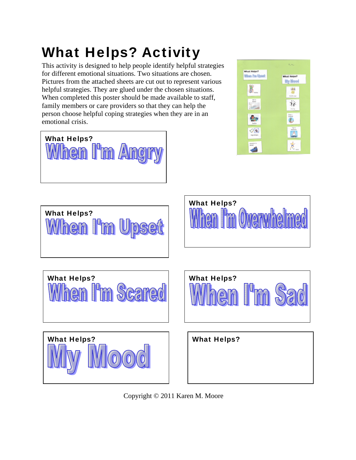## What Helps? Activity

I'm An

What Helps?

en

This activity is designed to help people identify helpful strategies for different emotional situations. Two situations are chosen. Pictures from the attached sheets are cut out to represent various helpful strategies. They are glued under the chosen situations. When completed this poster should be made available to staff, family members or care providers so that they can help the person choose helpful coping strategies when they are in an emotional crisis.





Copyright © 2011 Karen M. Moore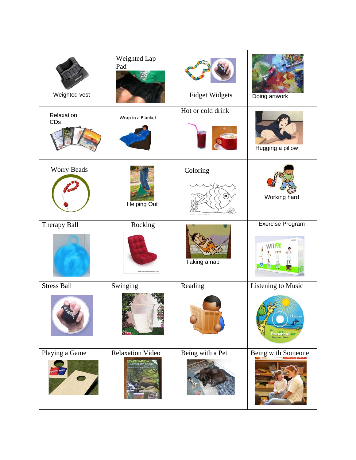| Weighted vest      | Weighted Lap<br>Pad                  | <b>Fidget Widgets</b> | Doing artwork                                        |
|--------------------|--------------------------------------|-----------------------|------------------------------------------------------|
| Relaxation<br>CDs  | Wrap in a Blanket                    | Hot or cold drink     | Hugging a pillow                                     |
| Worry Beads        | <b>Helping Out</b>                   | Coloring              | Working hard                                         |
| Therapy Ball       | Rocking                              | Taking a nap          | Exercise Program                                     |
| <b>Stress Ball</b> | Swinging                             | Reading               | <b>Listening to Music</b><br>Horizons<br>Preschool a |
| Playing a Game     | Relaxation Video<br>Calmer By Nature | Being with a Pet      | Being with Someone                                   |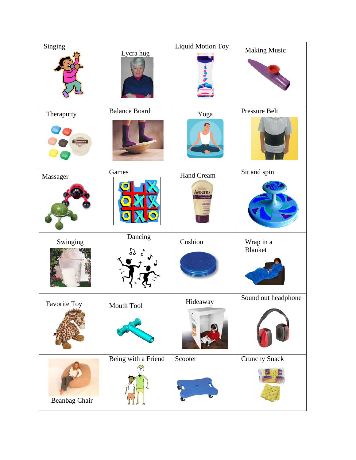| Singing             | Lycra hug            | Liquid Motion Toy   | <b>Making Music</b>  |
|---------------------|----------------------|---------------------|----------------------|
| Theraputty          | <b>Balance Board</b> | Yoga                | Pressure Belt        |
| Massager            | Games                | Hand Cream<br>weend | Sit and spin         |
| Swinging            | Dancing<br>29        | Cushion             | Wrap in a<br>Blanket |
| <b>Favorite Toy</b> | Mouth Tool           | Hideaway            | Sound out headphone  |
| Beanbag Chair       | Being with a Friend  | Scooter             | <b>Crunchy Snack</b> |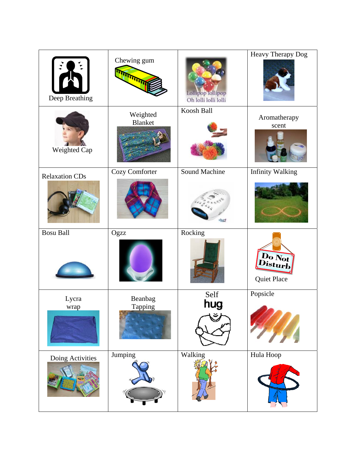| Deep Breathing        | Chewing gum<br><b>ATT</b> | Lollipop follipop<br>Oh lolli lolli lolli | Heavy Therapy Dog       |
|-----------------------|---------------------------|-------------------------------------------|-------------------------|
| Weighted Cap          | Weighted<br>Blanket       | Koosh Ball                                | Aromatherapy<br>scent   |
| <b>Relaxation CDs</b> | Cozy Comforter            | <b>Sound Machine</b>                      | <b>Infinity Walking</b> |
| <b>Bosu Ball</b>      | Ogzz                      | Rocking                                   | Do Not<br>Quiet Place   |
| Lycra<br>wrap         | Beanbag<br>Tapping        | Self<br>hug                               | Popsicle                |
| Doing Activities      | Jumping                   | Walking                                   | Hula Hoop               |